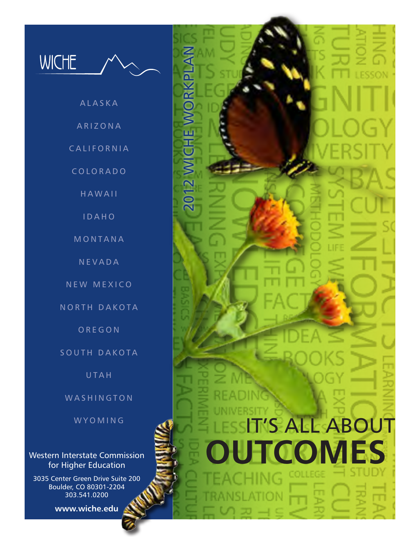

- **ALASKA**
- **ARIZONA**

2012 WICHE WORKPLAN

2012 WICHE WORKPLA

IT'S ALL ABOUT

**UTCOMES** 

**CALIFORNIA** 

C O L O R A D O

**HAWAII** 

I D A H O

**MONTANA** 

**NEVADA** 

N E W M E X I C O

NORTH DAKOTA

O R E G O N

SOUTH DAKOTA

**UTAH** 

WASHINGTON

W Y O M I N G

Western Interstate Commission for Higher Education

3035 Center Green Drive Suite 200 Boulder, CO 80301-2204 303.541.0200

**www.wiche.edu**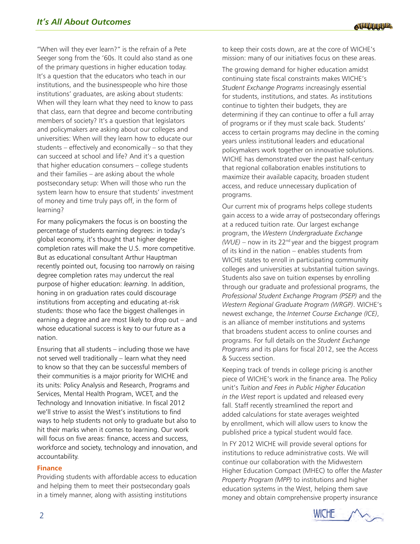"When will they ever learn?" is the refrain of a Pete Seeger song from the '60s. It could also stand as one of the primary questions in higher education today. It's a question that the educators who teach in our institutions, and the businesspeople who hire those institutions' graduates, are asking about students: When will they learn what they need to know to pass that class, earn that degree and become contributing members of society? It's a question that legislators and policymakers are asking about our colleges and universities: When will they learn how to educate our students – effectively and economically – so that they can succeed at school and life? And it's a question that higher education consumers – college students and their families – are asking about the whole postsecondary setup: When will those who run the system learn how to ensure that students' investment of money and time truly pays off, in the form of learning?

For many policymakers the focus is on boosting the percentage of students earning degrees: in today's global economy, it's thought that higher degree completion rates will make the U.S. more competitive. But as educational consultant Arthur Hauptman recently pointed out, focusing too narrowly on raising degree completion rates may undercut the real purpose of higher education: *learning*. In addition, honing in on graduation rates could discourage institutions from accepting and educating at-risk students: those who face the biggest challenges in earning a degree and are most likely to drop out – and whose educational success is key to our future as a nation.

Ensuring that all students – including those we have not served well traditionally – learn what they need to know so that they can be successful members of their communities is a major priority for WICHE and its units: Policy Analysis and Research, Programs and Services, Mental Health Program, WCET, and the Technology and Innovation initiative. In fiscal 2012 we'll strive to assist the West's institutions to find ways to help students not only to graduate but also to hit their marks when it comes to learning. Our work will focus on five areas: finance, access and success, workforce and society, technology and innovation, and accountability.

## **Finance**

Providing students with affordable access to education and helping them to meet their postsecondary goals in a timely manner, along with assisting institutions

to keep their costs down, are at the core of WICHE's mission: many of our initiatives focus on these areas.

The growing demand for higher education amidst continuing state fiscal constraints makes WICHE's *Student Exchange Programs* increasingly essential for students, institutions, and states. As institutions continue to tighten their budgets, they are determining if they can continue to offer a full array of programs or if they must scale back. Students' access to certain programs may decline in the coming years unless institutional leaders and educational policymakers work together on innovative solutions. WICHE has demonstrated over the past half-century that regional collaboration enables institutions to maximize their available capacity, broaden student access, and reduce unnecessary duplication of programs.

Our current mix of programs helps college students gain access to a wide array of postsecondary offerings at a reduced tuition rate. Our largest exchange program, the *Western Undergraduate Exchange (WUE)* – now in its 22nd year and the biggest program of its kind in the nation – enables students from WICHE states to enroll in participating community colleges and universities at substantial tuition savings. Students also save on tuition expenses by enrolling through our graduate and professional programs, the *Professional Student Exchange Program (PSEP)* and the *Western Regional Graduate Program (WRGP)*. WICHE's newest exchange, the *Internet Course Exchange (ICE)*, is an alliance of member institutions and systems that broadens student access to online courses and programs. For full details on the *Student Exchange Programs* and its plans for fiscal 2012, see the Access & Success section.

Keeping track of trends in college pricing is another piece of WICHE's work in the finance area. The Policy unit's *Tuition and Fees in Public Higher Education in the West* report is updated and released every fall. Staff recently streamlined the report and added calculations for state averages weighted by enrollment, which will allow users to know the published price a typical student would face.

In FY 2012 WICHE will provide several options for institutions to reduce administrative costs. We will continue our collaboration with the Midwestern Higher Education Compact (MHEC) to offer the *Master Property Program (MPP)* to institutions and higher education systems in the West, helping them save money and obtain comprehensive property insurance

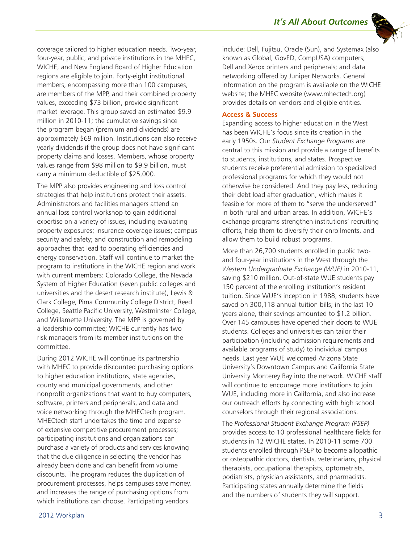

coverage tailored to higher education needs. Two-year, four-year, public, and private institutions in the MHEC, WICHE, and New England Board of Higher Education regions are eligible to join. Forty-eight institutional members, encompassing more than 100 campuses, are members of the MPP, and their combined property values, exceeding \$73 billion, provide significant market leverage. This group saved an estimated \$9.9 million in 2010-11; the cumulative savings since the program began (premium and dividends) are approximately \$69 million. Institutions can also receive yearly dividends if the group does not have significant property claims and losses. Members, whose property values range from \$98 million to \$9.9 billion, must carry a minimum deductible of \$25,000.

The MPP also provides engineering and loss control strategies that help institutions protect their assets. Administrators and facilities managers attend an annual loss control workshop to gain additional expertise on a variety of issues, including evaluating property exposures; insurance coverage issues; campus security and safety; and construction and remodeling approaches that lead to operating efficiencies and energy conservation. Staff will continue to market the program to institutions in the WICHE region and work with current members: Colorado College, the Nevada System of Higher Education (seven public colleges and universities and the desert research institute), Lewis & Clark College, Pima Community College District, Reed College, Seattle Pacific University, Westminster College, and Willamette University. The MPP is governed by a leadership committee; WICHE currently has two risk managers from its member institutions on the committee.

During 2012 WICHE will continue its partnership with MHEC to provide discounted purchasing options to higher education institutions, state agencies, county and municipal governments, and other nonprofit organizations that want to buy computers, software, printers and peripherals, and data and voice networking through the MHECtech program. MHECtech staff undertakes the time and expense of extensive competitive procurement processes; participating institutions and organizations can purchase a variety of products and services knowing that the due diligence in selecting the vendor has already been done and can benefit from volume discounts. The program reduces the duplication of procurement processes, helps campuses save money, and increases the range of purchasing options from which institutions can choose. Participating vendors

include: Dell, Fujitsu, Oracle (Sun), and Systemax (also known as Global, GovED, CompUSA) computers; Dell and Xerox printers and peripherals; and data networking offered by Juniper Networks. General information on the program is available on the WICHE website; the MHEC website (www.mhectech.org) provides details on vendors and eligible entities.

## **Access & Success**

Expanding access to higher education in the West has been WICHE's focus since its creation in the early 1950s. Our *Student Exchange Programs* are central to this mission and provide a range of benefits to students, institutions, and states. Prospective students receive preferential admission to specialized professional programs for which they would not otherwise be considered. And they pay less, reducing their debt load after graduation, which makes it feasible for more of them to "serve the underserved" in both rural and urban areas. In addition, WICHE's exchange programs strengthen institutions' recruiting efforts, help them to diversify their enrollments, and allow them to build robust programs.

More than 26,700 students enrolled in public twoand four-year institutions in the West through the *Western Undergraduate Exchange (WUE)* in 2010-11, saving \$210 million. Out-of-state WUE students pay 150 percent of the enrolling institution's resident tuition. Since WUE's inception in 1988, students have saved on 300,118 annual tuition bills; in the last 10 years alone, their savings amounted to \$1.2 billion. Over 145 campuses have opened their doors to WUE students. Colleges and universities can tailor their participation (including admission requirements and available programs of study) to individual campus needs. Last year WUE welcomed Arizona State University's Downtown Campus and California State University Monterey Bay into the network. WICHE staff will continue to encourage more institutions to join WUE, including more in California, and also increase our outreach efforts by connecting with high school counselors through their regional associations.

The *Professional Student Exchange Program (PSEP)* provides access to 10 professional healthcare fields for students in 12 WICHE states. In 2010-11 some 700 students enrolled through PSEP to become allopathic or osteopathic doctors, dentists, veterinarians, physical therapists, occupational therapists, optometrists, podiatrists, physician assistants, and pharmacists. Participating states annually determine the fields and the numbers of students they will support.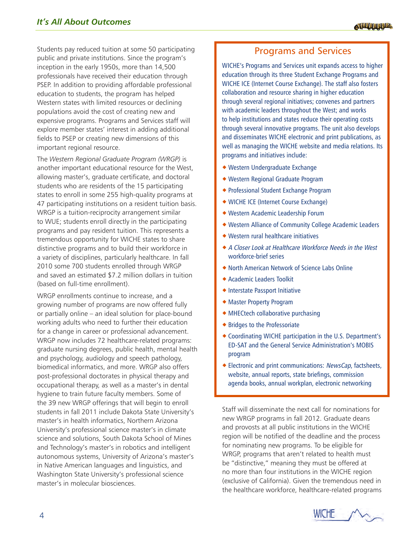Students pay reduced tuition at some 50 participating public and private institutions. Since the program's inception in the early 1950s, more than 14,500 professionals have received their education through PSEP. In addition to providing affordable professional education to students, the program has helped Western states with limited resources or declining populations avoid the cost of creating new and expensive programs. Programs and Services staff will explore member states' interest in adding additional fields to PSEP or creating new dimensions of this important regional resource.

The *Western Regional Graduate Program (WRGP)* is another important educational resource for the West, allowing master's, graduate certificate, and doctoral students who are residents of the 15 participating states to enroll in some 255 high-quality programs at 47 participating institutions on a resident tuition basis. WRGP is a tuition-reciprocity arrangement similar to WUE; students enroll directly in the participating programs and pay resident tuition. This represents a tremendous opportunity for WICHE states to share distinctive programs and to build their workforce in a variety of disciplines, particularly healthcare. In fall 2010 some 700 students enrolled through WRGP and saved an estimated \$7.2 million dollars in tuition (based on full-time enrollment).

WRGP enrollments continue to increase, and a growing number of programs are now offered fully or partially online – an ideal solution for place-bound working adults who need to further their education for a change in career or professional advancement. WRGP now includes 72 healthcare-related programs: graduate nursing degrees, public health, mental health and psychology, audiology and speech pathology, biomedical informatics, and more. WRGP also offers post-professional doctorates in physical therapy and occupational therapy, as well as a master's in dental hygiene to train future faculty members. Some of the 39 new WRGP offerings that will begin to enroll students in fall 2011 include Dakota State University's master's in health informatics, Northern Arizona University's professional science master's in climate science and solutions, South Dakota School of Mines and Technology's master's in robotics and intelligent autonomous systems, University of Arizona's master's in Native American languages and linguistics, and Washington State University's professional science master's in molecular biosciences.

# Programs and Services

WICHE's Programs and Services unit expands access to higher education through its three Student Exchange Programs and WICHE ICE (Internet Course Exchange). The staff also fosters collaboration and resource sharing in higher education through several regional initiatives; convenes and partners with academic leaders throughout the West; and works to help institutions and states reduce their operating costs through several innovative programs. The unit also develops and disseminates WICHE electronic and print publications, as well as managing the WICHE website and media relations. Its programs and initiatives include:

- Western Undergraduate Exchange
- Western Regional Graduate Program
- Professional Student Exchange Program
- WICHE ICE (Internet Course Exchange)
- Western Academic Leadership Forum
- Western Alliance of Community College Academic Leaders
- Western rural healthcare initiatives
- A Closer Look at Healthcare Workforce Needs in the West workforce-brief series
- North American Network of Science Labs Online
- Academic Leaders Toolkit
- Interstate Passport Initiative
- Master Property Program
- MHECtech collaborative purchasing
- Bridges to the Professoriate
- Coordinating WICHE participation in the U.S. Department's ED-SAT and the General Service Administration's MOBIS program
- Electronic and print communications: NewsCap, factsheets, website, annual reports, state briefings, commission agenda books, annual workplan, electronic networking

Staff will disseminate the next call for nominations for new WRGP programs in fall 2012. Graduate deans and provosts at all public institutions in the WICHE region will be notified of the deadline and the process for nominating new programs. To be eligible for WRGP, programs that aren't related to health must be "distinctive," meaning they must be offered at no more than four institutions in the WICHE region (exclusive of California). Given the tremendous need in the healthcare workforce, healthcare-related programs

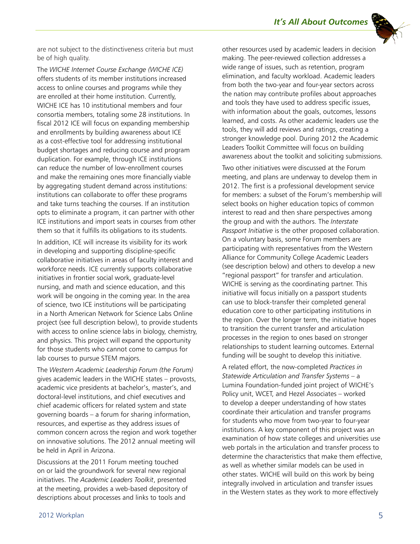

are not subject to the distinctiveness criteria but must be of high quality.

The *WICHE Internet Course Exchange (WICHE ICE)* offers students of its member institutions increased access to online courses and programs while they are enrolled at their home institution. Currently, WICHE ICE has 10 institutional members and four consortia members, totaling some 28 institutions. In fiscal 2012 ICE will focus on expanding membership and enrollments by building awareness about ICE as a cost-effective tool for addressing institutional budget shortages and reducing course and program duplication. For example, through ICE institutions can reduce the number of low-enrollment courses and make the remaining ones more financially viable by aggregating student demand across institutions: institutions can collaborate to offer these programs and take turns teaching the courses. If an institution opts to eliminate a program, it can partner with other ICE institutions and import seats in courses from other them so that it fulfills its obligations to its students.

In addition, ICE will increase its visibility for its work in developing and supporting discipline-specific collaborative initiatives in areas of faculty interest and workforce needs. ICE currently supports collaborative initiatives in frontier social work, graduate-level nursing, and math and science education, and this work will be ongoing in the coming year. In the area of science, two ICE institutions will be participating in a North American Network for Science Labs Online project (see full description below), to provide students with access to online science labs in biology, chemistry, and physics. This project will expand the opportunity for those students who cannot come to campus for lab courses to pursue STEM majors.

The *Western Academic Leadership Forum (the Forum)* gives academic leaders in the WICHE states – provosts, academic vice presidents at bachelor's, master's, and doctoral-level institutions, and chief executives and chief academic officers for related system and state governing boards – a forum for sharing information, resources, and expertise as they address issues of common concern across the region and work together on innovative solutions. The 2012 annual meeting will be held in April in Arizona.

Discussions at the 2011 Forum meeting touched on or laid the groundwork for several new regional initiatives. The *Academic Leaders Toolkit*, presented at the meeting, provides a web-based depository of descriptions about processes and links to tools and

other resources used by academic leaders in decision making. The peer-reviewed collection addresses a wide range of issues, such as retention, program elimination, and faculty workload. Academic leaders from both the two-year and four-year sectors across the nation may contribute profiles about approaches and tools they have used to address specific issues, with information about the goals, outcomes, lessons learned, and costs. As other academic leaders use the tools, they will add reviews and ratings, creating a stronger knowledge pool. During 2012 the Academic Leaders Toolkit Committee will focus on building awareness about the toolkit and soliciting submissions.

Two other initiatives were discussed at the Forum meeting, and plans are underway to develop them in 2012. The first is a professional development service for members: a subset of the Forum's membership will select books on higher education topics of common interest to read and then share perspectives among the group and with the authors. The *Interstate Passport Initiative* is the other proposed collaboration. On a voluntary basis, some Forum members are participating with representatives from the Western Alliance for Community College Academic Leaders (see description below) and others to develop a new "regional passport" for transfer and articulation. WICHE is serving as the coordinating partner. This initiative will focus initially on a passport students can use to block-transfer their completed general education core to other participating institutions in the region. Over the longer term, the initiative hopes to transition the current transfer and articulation processes in the region to ones based on stronger relationships to student learning outcomes. External funding will be sought to develop this initiative.

A related effort, the now-completed *Practices in Statewide Articulation and Transfer Systems* – a Lumina Foundation-funded joint project of WICHE's Policy unit, WCET, and Hezel Associates – worked to develop a deeper understanding of how states coordinate their articulation and transfer programs for students who move from two-year to four-year institutions. A key component of this project was an examination of how state colleges and universities use web portals in the articulation and transfer process to determine the characteristics that make them effective, as well as whether similar models can be used in other states. WICHE will build on this work by being integrally involved in articulation and transfer issues in the Western states as they work to more effectively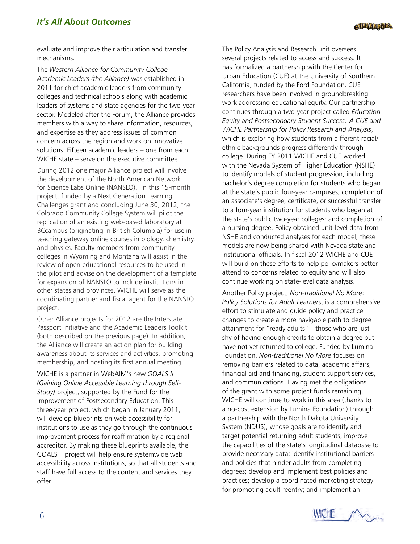evaluate and improve their articulation and transfer mechanisms.

The *Western Alliance for Community College Academic Leaders (the Alliance)* was established in 2011 for chief academic leaders from community colleges and technical schools along with academic leaders of systems and state agencies for the two-year sector. Modeled after the Forum, the Alliance provides members with a way to share information, resources, and expertise as they address issues of common concern across the region and work on innovative solutions. Fifteen academic leaders – one from each WICHE state – serve on the executive committee.

During 2012 one major Alliance project will involve the development of the North American Network for Science Labs Online (NANSLO). In this 15-month project, funded by a Next Generation Learning Challenges grant and concluding June 30, 2012, the Colorado Community College System will pilot the replication of an existing web-based laboratory at BCcampus (originating in British Columbia) for use in teaching gateway online courses in biology, chemistry, and physics. Faculty members from community colleges in Wyoming and Montana will assist in the review of open educational resources to be used in the pilot and advise on the development of a template for expansion of NANSLO to include institutions in other states and provinces. WICHE will serve as the coordinating partner and fiscal agent for the NANSLO project.

Other Alliance projects for 2012 are the Interstate Passport Initiative and the Academic Leaders Toolkit (both described on the previous page). In addition, the Alliance will create an action plan for building awareness about its services and activities, promoting membership, and hosting its first annual meeting.

WICHE is a partner in WebAIM's new *GOALS II (Gaining Online Accessible Learning through Self-Study)* project, supported by the Fund for the Improvement of Postsecondary Education. This three-year project, which began in January 2011, will develop blueprints on web accessibility for institutions to use as they go through the continuous improvement process for reaffirmation by a regional accreditor. By making these blueprints available, the GOALS II project will help ensure systemwide web accessibility across institutions, so that all students and staff have full access to the content and services they offer.

The Policy Analysis and Research unit oversees several projects related to access and success. It has formalized a partnership with the Center for Urban Education (CUE) at the University of Southern California, funded by the Ford Foundation. CUE researchers have been involved in groundbreaking work addressing educational equity. Our partnership continues through a two-year project called *Education Equity and Postsecondary Student Success: A CUE and WICHE Partnership for Policy Research and Analysis*, which is exploring how students from different racial/ ethnic backgrounds progress differently through college. During FY 2011 WICHE and CUE worked with the Nevada System of Higher Education (NSHE) to identify models of student progression, including bachelor's degree completion for students who began at the state's public four-year campuses; completion of an associate's degree, certificate, or successful transfer to a four-year institution for students who began at the state's public two-year colleges; and completion of a nursing degree. Policy obtained unit-level data from NSHE and conducted analyses for each model; these models are now being shared with Nevada state and institutional officials. In fiscal 2012 WICHE and CUE will build on these efforts to help policymakers better attend to concerns related to equity and will also continue working on state-level data analysis.

Another Policy project, *Non-traditional No More: Policy Solutions for Adult Learners*, is a comprehensive effort to stimulate and guide policy and practice changes to create a more navigable path to degree attainment for "ready adults" – those who are just shy of having enough credits to obtain a degree but have not yet returned to college. Funded by Lumina Foundation, *Non-traditional No More* focuses on removing barriers related to data, academic affairs, financial aid and financing, student support services, and communications. Having met the obligations of the grant with some project funds remaining, WICHE will continue to work in this area (thanks to a no-cost extension by Lumina Foundation) through a partnership with the North Dakota University System (NDUS), whose goals are to identify and target potential returning adult students, improve the capabilities of the state's longitudinal database to provide necessary data; identify institutional barriers and policies that hinder adults from completing degrees; develop and implement best policies and practices; develop a coordinated marketing strategy for promoting adult reentry; and implement an

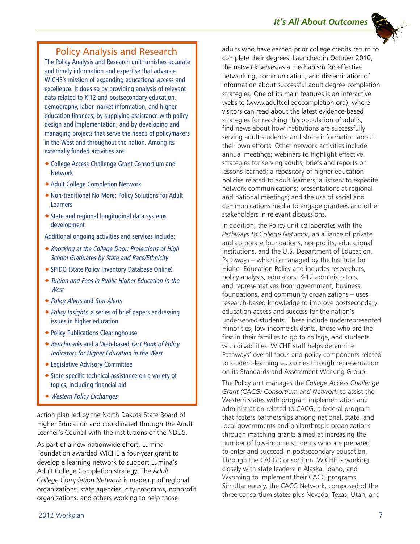## Policy Analysis and Research

The Policy Analysis and Research unit furnishes accurate and timely information and expertise that advance WICHE's mission of expanding educational access and excellence. It does so by providing analysis of relevant data related to K-12 and postsecondary education, demography, labor market information, and higher education finances; by supplying assistance with policy design and implementation; and by developing and managing projects that serve the needs of policymakers in the West and throughout the nation. Among its externally funded activities are:

- College Access Challenge Grant Consortium and Network
- Adult College Completion Network
- Non-traditional No More: Policy Solutions for Adult Learners
- State and regional longitudinal data systems development

Additional ongoing activities and services include:

- Knocking at the College Door: Projections of High School Graduates by State and Race/Ethnicity
- SPIDO (State Policy Inventory Database Online)
- Tuition and Fees in Public Higher Education in the **West**
- ◆ Policy Alerts and Stat Alerts
- ◆ Policy Insights, a series of brief papers addressing issues in higher education
- Policy Publications Clearinghouse
- ◆ Benchmarks and a Web-based Fact Book of Policy Indicators for Higher Education in the West
- Legislative Advisory Committee
- State-specific technical assistance on a variety of topics, including financial aid
- Western Policy Exchanges

action plan led by the North Dakota State Board of Higher Education and coordinated through the Adult Learner's Council with the institutions of the NDUS.

As part of a new nationwide effort, Lumina Foundation awarded WICHE a four-year grant to develop a learning network to support Lumina's Adult College Completion strategy. The *Adult College Completion Network* is made up of regional organizations, state agencies, city programs, nonprofit organizations, and others working to help those

adults who have earned prior college credits return to complete their degrees. Launched in October 2010, the network serves as a mechanism for effective networking, communication, and dissemination of information about successful adult degree completion strategies. One of its main features is an interactive website (www.adultcollegecompletion.org), where visitors can read about the latest evidence-based strategies for reaching this population of adults, find news about how institutions are successfully serving adult students, and share information about their own efforts. Other network activities include annual meetings; webinars to highlight effective strategies for serving adults; briefs and reports on lessons learned; a repository of higher education policies related to adult learners; a listserv to expedite network communications; presentations at regional and national meetings; and the use of social and communications media to engage grantees and other stakeholders in relevant discussions.

In addition, the Policy unit collaborates with the *Pathways to College Network*, an alliance of private and corporate foundations, nonprofits, educational institutions, and the U.S. Department of Education. Pathways – which is managed by the Institute for Higher Education Policy and includes researchers, policy analysts, educators, K-12 administrators, and representatives from government, business, foundations, and community organizations – uses research-based knowledge to improve postsecondary education access and success for the nation's underserved students. These include underrepresented minorities, low-income students, those who are the first in their families to go to college, and students with disabilities. WICHE staff helps determine Pathways' overall focus and policy components related to student-learning outcomes through representation on its Standards and Assessment Working Group.

The Policy unit manages the *College Access Challenge Grant (CACG) Consortium and Network* to assist the Western states with program implementation and administration related to CACG, a federal program that fosters partnerships among national, state, and local governments and philanthropic organizations through matching grants aimed at increasing the number of low-income students who are prepared to enter and succeed in postsecondary education. Through the CACG Consortium, WICHE is working closely with state leaders in Alaska, Idaho, and Wyoming to implement their CACG programs. Simultaneously, the CACG Network, composed of the three consortium states plus Nevada, Texas, Utah, and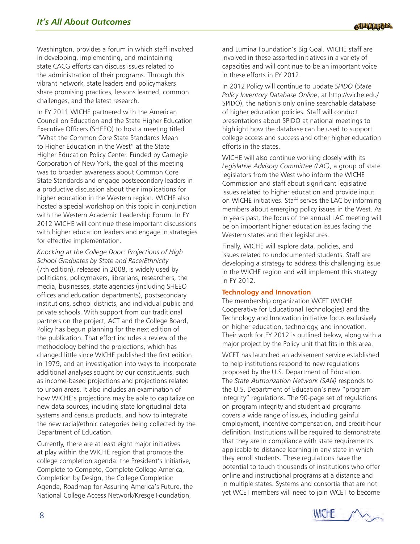Washington, provides a forum in which staff involved in developing, implementing, and maintaining state CACG efforts can discuss issues related to the administration of their programs. Through this vibrant network, state leaders and policymakers share promising practices, lessons learned, common challenges, and the latest research.

In FY 2011 WICHE partnered with the American Council on Education and the State Higher Education Executive Officers (SHEEO) to host a meeting titled "What the Common Core State Standards Mean to Higher Education in the West" at the State Higher Education Policy Center. Funded by Carnegie Corporation of New York, the goal of this meeting was to broaden awareness about Common Core State Standards and engage postsecondary leaders in a productive discussion about their implications for higher education in the Western region. WICHE also hosted a special workshop on this topic in conjunction with the Western Academic Leadership Forum. In FY 2012 WICHE will continue these important discussions with higher education leaders and engage in strategies for effective implementation.

*Knocking at the College Door: Projections of High School Graduates by State and Race/Ethnicity*  (7th edition), released in 2008, is widely used by politicians, policymakers, librarians, researchers, the media, businesses, state agencies (including SHEEO offices and education departments), postsecondary institutions, school districts, and individual public and private schools. With support from our traditional partners on the project, ACT and the College Board, Policy has begun planning for the next edition of the publication. That effort includes a review of the methodology behind the projections, which has changed little since WICHE published the first edition in 1979, and an investigation into ways to incorporate additional analyses sought by our constituents, such as income-based projections and projections related to urban areas. It also includes an examination of how WICHE's projections may be able to capitalize on new data sources, including state longitudinal data systems and census products, and how to integrate the new racial/ethnic categories being collected by the Department of Education.

Currently, there are at least eight major initiatives at play within the WICHE region that promote the college completion agenda: the President's Initiative, Complete to Compete, Complete College America, Completion by Design, the College Completion Agenda, Roadmap for Assuring America's Future, the National College Access Network/Kresge Foundation,

and Lumina Foundation's Big Goal. WICHE staff are involved in these assorted initiatives in a variety of capacities and will continue to be an important voice in these efforts in FY 2012.

In 2012 Policy will continue to update *SPIDO* (*State Policy Inventory Database Online*, at http://wiche.edu/ SPIDO), the nation's only online searchable database of higher education policies. Staff will conduct presentations about SPIDO at national meetings to highlight how the database can be used to support college access and success and other higher education efforts in the states.

WICHE will also continue working closely with its *Legislative Advisory Committee (LAC)*, a group of state legislators from the West who inform the WICHE Commission and staff about significant legislative issues related to higher education and provide input on WICHE initiatives. Staff serves the LAC by informing members about emerging policy issues in the West. As in years past, the focus of the annual LAC meeting will be on important higher education issues facing the Western states and their legislatures.

Finally, WICHE will explore data, policies, and issues related to undocumented students. Staff are developing a strategy to address this challenging issue in the WICHE region and will implement this strategy in FY 2012.

## **Technology and Innovation**

The membership organization WCET (WICHE Cooperative for Educational Technologies) and the Technology and Innovation initiative focus exclusively on higher education, technology, and innovation. Their work for FY 2012 is outlined below, along with a major project by the Policy unit that fits in this area.

WCET has launched an advisement service established to help institutions respond to new regulations proposed by the U.S. Department of Education. The *State Authorization Network (SAN)* responds to the U.S. Department of Education's new "program integrity" regulations. The 90-page set of regulations on program integrity and student aid programs covers a wide range of issues, including gainful employment, incentive compensation, and credit-hour definition. Institutions will be required to demonstrate that they are in compliance with state requirements applicable to distance learning in any state in which they enroll students. These regulations have the potential to touch thousands of institutions who offer online and instructional programs at a distance and in multiple states. Systems and consortia that are not yet WCET members will need to join WCET to become

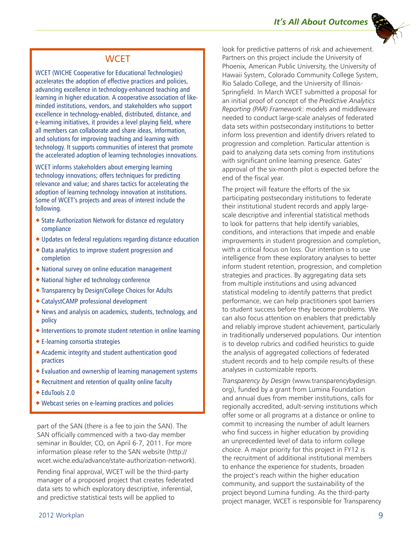## **WCET**

WCET (WICHE Cooperative for Educational Technologies) accelerates the adoption of effective practices and policies, advancing excellence in technology-enhanced teaching and learning in higher education. A cooperative association of likeminded institutions, vendors, and stakeholders who support excellence in technology-enabled, distributed, distance, and e-learning initiatives, it provides a level playing field, where all members can collaborate and share ideas, information, and solutions for improving teaching and learning with technology. It supports communities of interest that promote the accelerated adoption of learning technologies innovations.

WCET informs stakeholders about emerging learning technology innovations; offers techniques for predicting relevance and value; and shares tactics for accelerating the adoption of learning technology innovation at institutions. Some of WCET's projects and areas of interest include the following.

- ◆ State Authorization Network for distance ed regulatory compliance
- Updates on federal regulations regarding distance education
- Data analytics to improve student progression and completion
- National survey on online education management
- National higher ed technology conference
- Transparency by Design/College Choices for Adults
- CatalystCAMP professional development
- News and analysis on academics, students, technology, and policy
- $\triangle$  Interventions to promote student retention in online learning
- E-learning consortia strategies
- Academic integrity and student authentication good practices
- Evaluation and ownership of learning management systems
- Recruitment and retention of quality online faculty
- ◆ EduTools 2.0
- Webcast series on e-learning practices and policies

part of the SAN (there is a fee to join the SAN). The SAN officially commenced with a two-day member seminar in Boulder, CO, on April 6-7, 2011. For more information please refer to the SAN website (http:// wcet.wiche.edu/advance/state-authorization-network).

Pending final approval, WCET will be the third-party manager of a proposed project that creates federated data sets to which exploratory descriptive, inferential, and predictive statistical tests will be applied to

look for predictive patterns of risk and achievement. Partners on this project include the University of Phoenix, American Public University, the University of Hawaii System, Colorado Community College System, Rio Salado College, and the University of Illinois-Springfield. In March WCET submitted a proposal for an initial proof of concept of the *Predictive Analytics Reporting (PAR) Framework*: models and middleware needed to conduct large-scale analyses of federated data sets within postsecondary institutions to better inform loss prevention and identify drivers related to progression and completion. Particular attention is paid to analyzing data sets coming from institutions with significant online learning presence. Gates' approval of the six-month pilot is expected before the end of the fiscal year.

The project will feature the efforts of the six participating postsecondary institutions to federate their institutional student records and apply largescale descriptive and inferential statistical methods to look for patterns that help identify variables, conditions, and interactions that impede and enable improvements in student progression and completion, with a critical focus on loss. Our intention is to use intelligence from these exploratory analyses to better inform student retention, progression, and completion strategies and practices. By aggregating data sets from multiple institutions and using advanced statistical modeling to identify patterns that predict performance, we can help practitioners spot barriers to student success before they become problems. We can also focus attention on enablers that predictably and reliably improve student achievement, particularly in traditionally underserved populations. Our intention is to develop rubrics and codified heuristics to guide the analysis of aggregated collections of federated student records and to help compile results of these analyses in customizable reports.

*Transparency by Design* (www.transparencybydesign. org), funded by a grant from Lumina Foundation and annual dues from member institutions, calls for regionally accredited, adult-serving institutions which offer some or all programs at a distance or online to commit to increasing the number of adult learners who find success in higher education by providing an unprecedented level of data to inform college choice. A major priority for this project in FY12 is the recruitment of additional institutional members to enhance the experience for students, broaden the project's reach within the higher education community, and support the sustainability of the project beyond Lumina funding. As the third-party project manager, WCET is responsible for Transparency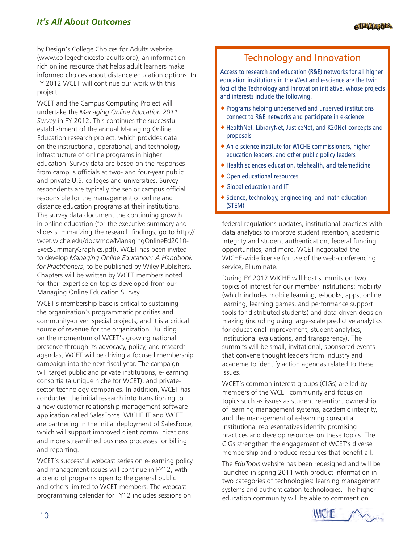by Design's College Choices for Adults website (www.collegechoicesforadults.org), an informationrich online resource that helps adult learners make informed choices about distance education options. In FY 2012 WCET will continue our work with this project.

WCET and the Campus Computing Project will undertake the *Managing Online Education 2011 Survey* in FY 2012. This continues the successful establishment of the annual Managing Online Education research project, which provides data on the instructional, operational, and technology infrastructure of online programs in higher education. Survey data are based on the responses from campus officials at two- and four-year public and private U.S. colleges and universities. Survey respondents are typically the senior campus official responsible for the management of online and distance education programs at their institutions. The survey data document the continuing growth in online education (for the executive summary and slides summarizing the research findings, go to http:// wcet.wiche.edu/docs/moe/ManagingOnlineEd2010- ExecSummaryGraphics.pdf). WCET has been invited to develop *Managing Online Education: A Handbook for Practitioners*, to be published by Wiley Publishers. Chapters will be written by WCET members noted for their expertise on topics developed from our Managing Online Education Survey.

WCET's membership base is critical to sustaining the organization's programmatic priorities and community-driven special projects, and it is a critical source of revenue for the organization. Building on the momentum of WCET's growing national presence through its advocacy, policy, and research agendas, WCET will be driving a focused membership campaign into the next fiscal year. The campaign will target public and private institutions, e-learning consortia (a unique niche for WCET), and privatesector technology companies. In addition, WCET has conducted the initial research into transitioning to a new customer relationship management software application called SalesForce. WICHE IT and WCET are partnering in the initial deployment of SalesForce, which will support improved client communications and more streamlined business processes for billing and reporting.

WCET's successful webcast series on e-learning policy and management issues will continue in FY12, with a blend of programs open to the general public and others limited to WCET members. The webcast programming calendar for FY12 includes sessions on

# Technology and Innovation

Access to research and education (R&E) networks for all higher education institutions in the West and e-science are the twin foci of the Technology and Innovation initiative, whose projects and interests include the following.

- Programs helping underserved and unserved institutions connect to R&E networks and participate in e-science
- HealthNet, LibraryNet, JusticeNet, and K20Net concepts and proposals
- An e-science institute for WICHE commissioners, higher education leaders, and other public policy leaders
- Health sciences education, telehealth, and telemedicine
- Open educational resources
- Global education and IT
- $\triangle$  Science, technology, engineering, and math education (STEM)

federal regulations updates, institutional practices with data analytics to improve student retention, academic integrity and student authentication, federal funding opportunities, and more. WCET negotiated the WICHE-wide license for use of the web-conferencing service, Elluminate.

During FY 2012 WICHE will host summits on two topics of interest for our member institutions: mobility (which includes mobile learning, e-books, apps, online learning, learning games, and performance support tools for distributed students) and data-driven decision making (including using large-scale predictive analytics for educational improvement, student analytics, institutional evaluations, and transparency). The summits will be small, invitational, sponsored events that convene thought leaders from industry and academe to identify action agendas related to these issues.

WCET's common interest groups (CIGs) are led by members of the WCET community and focus on topics such as issues as student retention, ownership of learning management systems, academic integrity, and the management of e-learning consortia. Institutional representatives identify promising practices and develop resources on these topics. The CIGs strengthen the engagement of WCET's diverse membership and produce resources that benefit all.

The *EduTools* website has been redesigned and will be launched in spring 2011 with product information in two categories of technologies: learning management systems and authentication technologies. The higher education community will be able to comment on

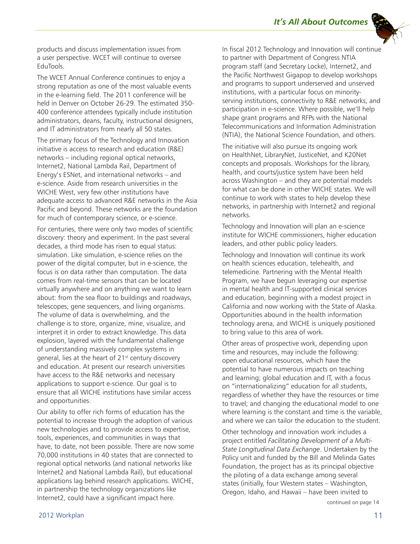*It's All About Outcomes*



products and discuss implementation issues from a user perspective. WCET will continue to oversee EduTools.

The WCET Annual Conference continues to enjoy a strong reputation as one of the most valuable events in the e-learning field. The 2011 conference will be held in Denver on October 26-29. The estimated 350- 400 conference attendees typically include institution administrators, deans, faculty, instructional designers, and IT administrators from nearly all 50 states.

The primary focus of the Technology and Innovation initiative is access to research and education (R&E) networks – including regional optical networks, Internet2, National Lambda Rail, Department of Energy's ESNet, and international networks – and e-science. Aside from research universities in the WICHE West, very few other institutions have adequate access to advanced R&E networks in the Asia Pacific and beyond. These networks are the foundation for much of contemporary science, or e-science.

For centuries, there were only two modes of scientific discovery: theory and experiment. In the past several decades, a third mode has risen to equal status: simulation. Like simulation, e-science relies on the power of the digital computer, but in e-science, the focus is on data rather than computation. The data comes from real-time sensors that can be located virtually anywhere and on anything we want to learn about: from the sea floor to buildings and roadways, telescopes, gene sequencers, and living organisms. The volume of data is overwhelming, and the challenge is to store, organize, mine, visualize, and interpret it in order to extract knowledge. This data explosion, layered with the fundamental challenge of understanding massively complex systems in general, lies at the heart of 21<sup>st</sup> century discovery and education. At present our research universities have access to the R&E networks and necessary applications to support e-science. Our goal is to ensure that all WICHE institutions have similar access and opportunities.

Our ability to offer rich forms of education has the potential to increase through the adoption of various new technologies and to provide access to expertise, tools, experiences, and communities in ways that have, to date, not been possible. There are now some 70,000 institutions in 40 states that are connected to regional optical networks (and national networks like Internet2 and National Lambda Rail), but educational applications lag behind research applications. WICHE, in partnership the technology organizations like Internet2, could have a significant impact here.

In fiscal 2012 Technology and Innovation will continue to partner with Department of Congress NTIA program staff (and Secretary Locke), Internet2, and the Pacific Northwest Gigapop to develop workshops and programs to support underserved and unserved institutions, with a particular focus on minorityserving institutions, connectivity to R&E networks, and participation in e-science. Where possible, we'll help shape grant programs and RFPs with the National Telecommunications and Information Administration (NTIA), the National Science Foundation, and others.

The initiative will also pursue its ongoing work on HealthNet, LibraryNet, JusticeNet, and K20Net concepts and proposals. Workshops for the library, health, and courts/justice system have been held across Washington – and they are potential models for what can be done in other WICHE states. We will continue to work with states to help develop these networks, in partnership with Internet2 and regional networks.

Technology and Innovation will plan an e-science institute for WICHE commissioners, higher education leaders, and other public policy leaders.

Technology and Innovation will continue its work on health sciences education, telehealth, and telemedicine. Partnering with the Mental Health Program, we have begun leveraging our expertise in mental health and IT-supported clinical services and education, beginning with a modest project in California and now working with the State of Alaska. Opportunities abound in the health information technology arena, and WICHE is uniquely positioned to bring value to this area of work.

Other areas of prospective work, depending upon time and resources, may include the following: open educational resources, which have the potential to have numerous impacts on teaching and learning; global education and IT, with a focus on "internationalizing" education for all students, regardless of whether they have the resources or time to travel; and changing the educational model to one where learning is the constant and time is the variable, and where we can tailor the education to the student.

Other technology and innovation work includes a project entitled *Facilitating Development of a Multi-State Longitudinal Data Exchange*. Undertaken by the Policy unit and funded by the Bill and Melinda Gates Foundation, the project has as its principal objective the piloting of a data exchange among several states (initially, four Western states – Washington, Oregon, Idaho, and Hawaii – have been invited to

continued on page 14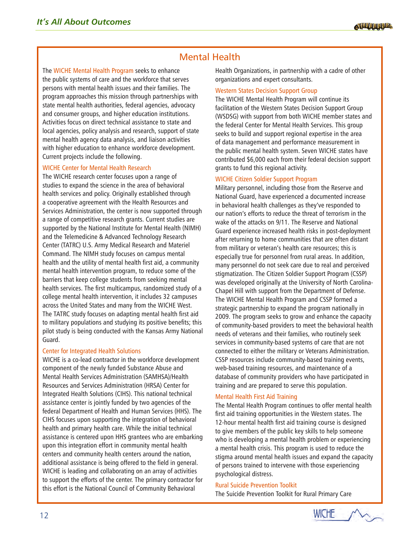# Mental Health

The WICHE Mental Health Program seeks to enhance the public systems of care and the workforce that serves persons with mental health issues and their families. The program approaches this mission through partnerships with state mental health authorities, federal agencies, advocacy and consumer groups, and higher education institutions. Activities focus on direct technical assistance to state and local agencies, policy analysis and research, support of state mental health agency data analysis, and liaison activities with higher education to enhance workforce development. Current projects include the following.

## WICHE Center for Mental Health Research

The WICHE research center focuses upon a range of studies to expand the science in the area of behavioral health services and policy. Originally established through a cooperative agreement with the Health Resources and Services Administration, the center is now supported through a range of competitive research grants. Current studies are supported by the National Institute for Mental Health (NIMH) and the Telemedicine & Advanced Technology Research Center (TATRC) U.S. Army Medical Research and Materiel Command. The NIMH study focuses on campus mental health and the utility of mental health first aid, a community mental health intervention program, to reduce some of the barriers that keep college students from seeking mental health services. The first multicampus, randomized study of a college mental health intervention, it includes 32 campuses across the United States and many from the WICHE West. The TATRC study focuses on adapting mental health first aid to military populations and studying its positive benefits; this pilot study is being conducted with the Kansas Army National Guard.

## Center for Integrated Health Solutions

WICHE is a co-lead contractor in the workforce development component of the newly funded Substance Abuse and Mental Health Services Administration (SAMHSA)/Health Resources and Services Administration (HRSA) Center for Integrated Health Solutions (CIHS). This national technical assistance center is jointly funded by two agencies of the federal Department of Health and Human Services (HHS). The CIHS focuses upon supporting the integration of behavioral health and primary health care. While the initial technical assistance is centered upon HHS grantees who are embarking upon this integration effort in community mental health centers and community health centers around the nation, additional assistance is being offered to the field in general. WICHE is leading and collaborating on an array of activities to support the efforts of the center. The primary contractor for this effort is the National Council of Community Behavioral

Health Organizations, in partnership with a cadre of other organizations and expert consultants.

## Western States Decision Support Group

The WICHE Mental Health Program will continue its facilitation of the Western States Decision Support Group (WSDSG) with support from both WICHE member states and the federal Center for Mental Health Services. This group seeks to build and support regional expertise in the area of data management and performance measurement in the public mental health system. Seven WICHE states have contributed \$6,000 each from their federal decision support grants to fund this regional activity.

## WICHE Citizen Soldier Support Program

Military personnel, including those from the Reserve and National Guard, have experienced a documented increase in behavioral health challenges as they've responded to our nation's efforts to reduce the threat of terrorism in the wake of the attacks on 9/11. The Reserve and National Guard experience increased health risks in post-deployment after returning to home communities that are often distant from military or veteran's health care resources; this is especially true for personnel from rural areas. In addition, many personnel do not seek care due to real and perceived stigmatization. The Citizen Soldier Support Program (CSSP) was developed originally at the University of North Carolina-Chapel Hill with support from the Department of Defense. The WICHE Mental Health Program and CSSP formed a strategic partnership to expand the program nationally in 2009. The program seeks to grow and enhance the capacity of community-based providers to meet the behavioral health needs of veterans and their families, who routinely seek services in community-based systems of care that are not connected to either the military or Veterans Administration. CSSP resources include community-based training events, web-based training resources, and maintenance of a database of community providers who have participated in training and are prepared to serve this population.

## Mental Health First Aid Training

The Mental Health Program continues to offer mental health first aid training opportunities in the Western states. The 12-hour mental health first aid training course is designed to give members of the public key skills to help someone who is developing a mental health problem or experiencing a mental health crisis. This program is used to reduce the stigma around mental health issues and expand the capacity of persons trained to intervene with those experiencing psychological distress.

#### Rural Suicide Prevention Toolkit

The Suicide Prevention Toolkit for Rural Primary Care

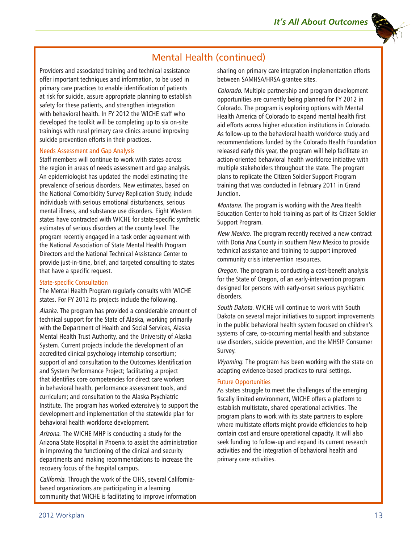

# Mental Health (continued)

Providers and associated training and technical assistance offer important techniques and information, to be used in primary care practices to enable identification of patients at risk for suicide, assure appropriate planning to establish safety for these patients, and strengthen integration with behavioral health. In FY 2012 the WICHE staff who developed the toolkit will be completing up to six on-site trainings with rural primary care clinics around improving suicide prevention efforts in their practices.

#### Needs Assessment and Gap Analysis

Staff members will continue to work with states across the region in areas of needs assessment and gap analysis. An epidemiologist has updated the model estimating the prevalence of serious disorders. New estimates, based on the National Comorbidity Survey Replication Study, include individuals with serious emotional disturbances, serious mental illness, and substance use disorders. Eight Western states have contracted with WICHE for state-specific synthetic estimates of serious disorders at the county level. The program recently engaged in a task order agreement with the National Association of State Mental Health Program Directors and the National Technical Assistance Center to provide just-in-time, brief, and targeted consulting to states that have a specific request.

## State-specific Consultation

The Mental Health Program regularly consults with WICHE states. For FY 2012 its projects include the following.

Alaska. The program has provided a considerable amount of technical support for the State of Alaska, working primarily with the Department of Health and Social Services, Alaska Mental Health Trust Authority, and the University of Alaska System. Current projects include the development of an accredited clinical psychology internship consortium; support of and consultation to the Outcomes Identification and System Performance Project; facilitating a project that identifies core competencies for direct care workers in behavioral health, performance assessment tools, and curriculum; and consultation to the Alaska Psychiatric Institute. The program has worked extensively to support the development and implementation of the statewide plan for behavioral health workforce development.

Arizona. The WICHE MHP is conducting a study for the Arizona State Hospital in Phoenix to assist the administration in improving the functioning of the clinical and security departments and making recommendations to increase the recovery focus of the hospital campus.

California. Through the work of the CIHS, several Californiabased organizations are participating in a learning community that WICHE is facilitating to improve information sharing on primary care integration implementation efforts between SAMHSA/HRSA grantee sites.

Colorado. Multiple partnership and program development opportunities are currently being planned for FY 2012 in Colorado. The program is exploring options with Mental Health America of Colorado to expand mental health first aid efforts across higher education institutions in Colorado. As follow-up to the behavioral health workforce study and recommendations funded by the Colorado Health Foundation released early this year, the program will help facilitate an action-oriented behavioral health workforce initiative with multiple stakeholders throughout the state. The program plans to replicate the Citizen Soldier Support Program training that was conducted in February 2011 in Grand Junction.

Montana. The program is working with the Area Health Education Center to hold training as part of its Citizen Soldier Support Program.

New Mexico. The program recently received a new contract with Doña Ana County in southern New Mexico to provide technical assistance and training to support improved community crisis intervention resources.

Oregon. The program is conducting a cost-benefit analysis for the State of Oregon, of an early-intervention program designed for persons with early-onset serious psychiatric disorders.

South Dakota. WICHE will continue to work with South Dakota on several major initiatives to support improvements in the public behavioral health system focused on children's systems of care, co-occurring mental health and substance use disorders, suicide prevention, and the MHSIP Consumer Survey.

Wyoming. The program has been working with the state on adapting evidence-based practices to rural settings.

#### Future Opportunities

As states struggle to meet the challenges of the emerging fiscally limited environment, WICHE offers a platform to establish multistate, shared operational activities. The program plans to work with its state partners to explore where multistate efforts might provide efficiencies to help contain cost and ensure operational capacity. It will also seek funding to follow-up and expand its current research activities and the integration of behavioral health and primary care activities.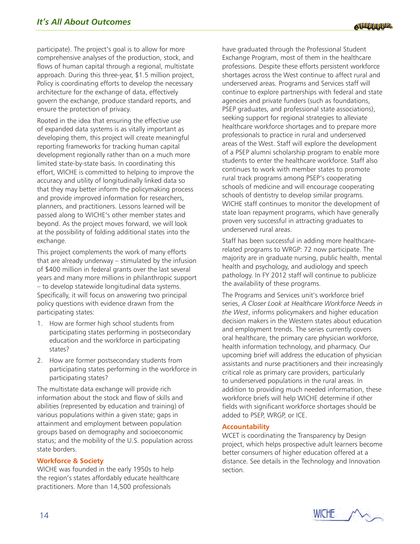participate). The project's goal is to allow for more comprehensive analyses of the production, stock, and flows of human capital through a regional, multistate approach. During this three-year, \$1.5 million project, Policy is coordinating efforts to develop the necessary architecture for the exchange of data, effectively govern the exchange, produce standard reports, and ensure the protection of privacy.

Rooted in the idea that ensuring the effective use of expanded data systems is as vitally important as developing them, this project will create meaningful reporting frameworks for tracking human capital development regionally rather than on a much more limited state-by-state basis. In coordinating this effort, WICHE is committed to helping to improve the accuracy and utility of longitudinally linked data so that they may better inform the policymaking process and provide improved information for researchers, planners, and practitioners. Lessons learned will be passed along to WICHE's other member states and beyond. As the project moves forward, we will look at the possibility of folding additional states into the exchange.

This project complements the work of many efforts that are already underway – stimulated by the infusion of \$400 million in federal grants over the last several years and many more millions in philanthropic support – to develop statewide longitudinal data systems. Specifically, it will focus on answering two principal policy questions with evidence drawn from the participating states:

- 1. How are former high school students from participating states performing in postsecondary education and the workforce in participating states?
- 2. How are former postsecondary students from participating states performing in the workforce in participating states?

The multistate data exchange will provide rich information about the stock and flow of skills and abilities (represented by education and training) of various populations within a given state; gaps in attainment and employment between population groups based on demography and socioeconomic status; and the mobility of the U.S. population across state borders.

## **Workforce & Society**

WICHE was founded in the early 1950s to help the region's states affordably educate healthcare practitioners. More than 14,500 professionals

have graduated through the Professional Student Exchange Program, most of them in the healthcare professions. Despite these efforts persistent workforce shortages across the West continue to affect rural and underserved areas. Programs and Services staff will continue to explore partnerships with federal and state agencies and private funders (such as foundations, PSEP graduates, and professional state associations), seeking support for regional strategies to alleviate healthcare workforce shortages and to prepare more professionals to practice in rural and underserved areas of the West. Staff will explore the development of a PSEP alumni scholarship program to enable more students to enter the healthcare workforce. Staff also continues to work with member states to promote rural track programs among PSEP's cooperating schools of medicine and will encourage cooperating schools of dentistry to develop similar programs. WICHE staff continues to monitor the development of state loan repayment programs, which have generally proven very successful in attracting graduates to underserved rural areas.

Staff has been successful in adding more healthcarerelated programs to WRGP: 72 now participate. The majority are in graduate nursing, public health, mental health and psychology, and audiology and speech pathology. In FY 2012 staff will continue to publicize the availability of these programs.

The Programs and Services unit's workforce brief series, *A Closer Look at Healthcare Workforce Needs in the West*, informs policymakers and higher education decision makers in the Western states about education and employment trends. The series currently covers oral healthcare, the primary care physician workforce, health information technology, and pharmacy. Our upcoming brief will address the education of physician assistants and nurse practitioners and their increasingly critical role as primary care providers, particularly to underserved populations in the rural areas. In addition to providing much needed information, these workforce briefs will help WICHE determine if other fields with significant workforce shortages should be added to PSEP, WRGP, or ICE.

## **Accountability**

WCET is coordinating the Transparency by Design project, which helps prospective adult learners become better consumers of higher education offered at a distance. See details in the Technology and Innovation section.

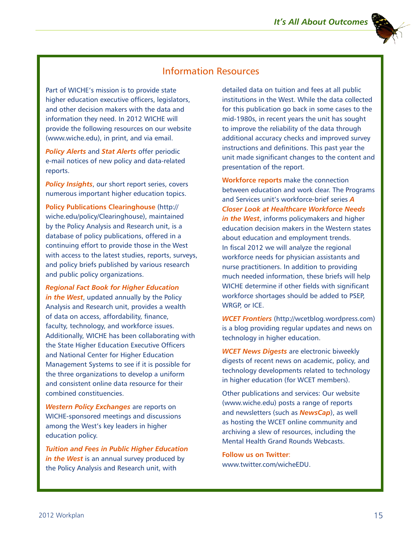# Information Resources

Part of WICHE's mission is to provide state higher education executive officers, legislators, and other decision makers with the data and information they need. In 2012 WICHE will provide the following resources on our website (www.wiche.edu), in print, and via email.

*Policy Alerts* and *Stat Alerts* offer periodic e-mail notices of new policy and data-related reports.

*Policy Insights*, our short report series, covers numerous important higher education topics.

**Policy Publications Clearinghouse** (http:// wiche.edu/policy/Clearinghouse), maintained by the Policy Analysis and Research unit, is a database of policy publications, offered in a continuing effort to provide those in the West with access to the latest studies, reports, surveys, and policy briefs published by various research and public policy organizations.

*Regional Fact Book for Higher Education in the West*, updated annually by the Policy Analysis and Research unit, provides a wealth of data on access, affordability, finance, faculty, technology, and workforce issues. Additionally, WICHE has been collaborating with the State Higher Education Executive Officers and National Center for Higher Education Management Systems to see if it is possible for the three organizations to develop a uniform and consistent online data resource for their combined constituencies.

*Western Policy Exchanges* are reports on WICHE-sponsored meetings and discussions among the West's key leaders in higher education policy.

*Tuition and Fees in Public Higher Education in the West* is an annual survey produced by the Policy Analysis and Research unit, with

detailed data on tuition and fees at all public institutions in the West. While the data collected for this publication go back in some cases to the mid-1980s, in recent years the unit has sought to improve the reliability of the data through additional accuracy checks and improved survey instructions and definitions. This past year the unit made significant changes to the content and presentation of the report.

**Workforce reports** make the connection between education and work clear. The Programs and Services unit's workforce-brief series *A Closer Look at Healthcare Workforce Needs in the West*, informs policymakers and higher education decision makers in the Western states about education and employment trends. In fiscal 2012 we will analyze the regional workforce needs for physician assistants and nurse practitioners. In addition to providing much needed information, these briefs will help WICHE determine if other fields with significant workforce shortages should be added to PSEP, WRGP, or ICE.

*WCET Frontiers* (http://wcetblog.wordpress.com) is a blog providing regular updates and news on technology in higher education.

*WCET News Digests* are electronic biweekly digests of recent news on academic, policy, and technology developments related to technology in higher education (for WCET members).

Other publications and services: Our website (www.wiche.edu) posts a range of reports and newsletters (such as *NewsCap*), as well as hosting the WCET online community and archiving a slew of resources, including the Mental Health Grand Rounds Webcasts.

**Follow us on Twitter**: www.twitter.com/wicheEDU.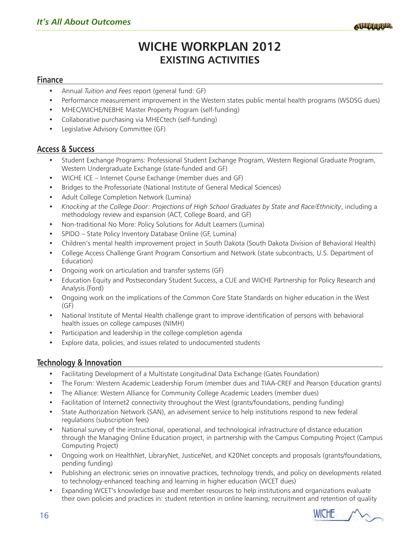# **WICHE WORKPLAN 2012 EXISTING ACTIVITIES**

## **Finance**

- Annual *Tuition and Fees* report (general fund: GF)
- Performance measurement improvement in the Western states public mental health programs (WSDSG dues)
- MHEC/WICHE/NEBHE Master Property Program (self-funding)
- Collaborative purchasing via MHECtech (self-funding)
- Legislative Advisory Committee (GF)

## **Access & Success**

- Student Exchange Programs: Professional Student Exchange Program, Western Regional Graduate Program, Western Undergraduate Exchange (state-funded and GF)
- WICHE ICE Internet Course Exchange (member dues and GF)
- Bridges to the Professoriate (National Institute of General Medical Sciences)
- Adult College Completion Network (Lumina)
- y *Knocking at the College Door: Projections of High School Graduates by State and Race/Ethnicity*, including a methodology review and expansion (ACT, College Board, and GF)
- y Non-traditional No More: Policy Solutions for Adult Learners (Lumina)
- SPIDO State Policy Inventory Database Online (GF, Lumina)
- Children's mental health improvement project in South Dakota (South Dakota Division of Behavioral Health)
- College Access Challenge Grant Program Consortium and Network (state subcontracts, U.S. Department of Education)
- Ongoing work on articulation and transfer systems (GF)
- Education Equity and Postsecondary Student Success, a CUE and WICHE Partnership for Policy Research and Analysis (Ford)
- Ongoing work on the implications of the Common Core State Standards on higher education in the West (GF)
- National Institute of Mental Health challenge grant to improve identification of persons with behavioral health issues on college campuses (NIMH)
- Participation and leadership in the college completion agenda
- Explore data, policies, and issues related to undocumented students

## **Technology & Innovation**

- Facilitating Development of a Multistate Longitudinal Data Exchange (Gates Foundation)
- The Forum: Western Academic Leadership Forum (member dues and TIAA-CREF and Pearson Education grants)
- The Alliance: Western Alliance for Community College Academic Leaders (member dues)
- Facilitation of Internet2 connectivity throughout the West (grants/foundations, pending funding)
- State Authorization Network (SAN), an advisement service to help institutions respond to new federal regulations (subscription fees)
- National survey of the instructional, operational, and technological infrastructure of distance education through the Managing Online Education project, in partnership with the Campus Computing Project (Campus Computing Project)
- Ongoing work on HealthNet, LibraryNet, JusticeNet, and K20Net concepts and proposals (grants/foundations, pending funding)
- Publishing an electronic series on innovative practices, technology trends, and policy on developments related to technology-enhanced teaching and learning in higher education (WCET dues)
- Expanding WCET's knowledge base and member resources to help institutions and organizations evaluate their own policies and practices in: student retention in online learning; recruitment and retention of quality

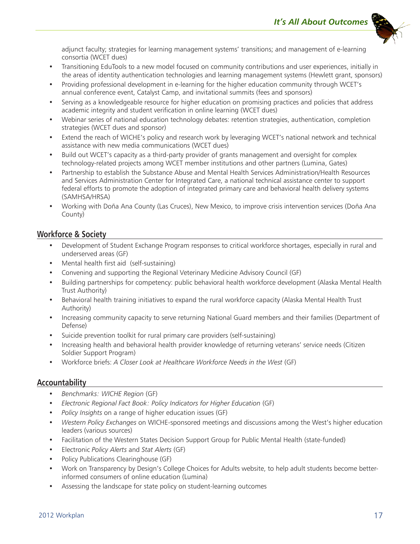

adjunct faculty; strategies for learning management systems' transitions; and management of e-learning consortia (WCET dues)

- y Transitioning EduTools to a new model focused on community contributions and user experiences, initially in the areas of identity authentication technologies and learning management systems (Hewlett grant, sponsors)
- Providing professional development in e-learning for the higher education community through WCET's annual conference event, Catalyst Camp, and invitational summits (fees and sponsors)
- Serving as a knowledgeable resource for higher education on promising practices and policies that address academic integrity and student verification in online learning (WCET dues)
- y Webinar series of national education technology debates: retention strategies, authentication, completion strategies (WCET dues and sponsor)
- Extend the reach of WICHE's policy and research work by leveraging WCET's national network and technical assistance with new media communications (WCET dues)
- Build out WCET's capacity as a third-party provider of grants management and oversight for complex technology-related projects among WCET member institutions and other partners (Lumina, Gates)
- Partnership to establish the Substance Abuse and Mental Health Services Administration/Health Resources and Services Administration Center for Integrated Care, a national technical assistance center to support federal efforts to promote the adoption of integrated primary care and behavioral health delivery systems (SAMHSA/HRSA)
- y Working with Doña Ana County (Las Cruces), New Mexico, to improve crisis intervention services (Doña Ana County)

## **Workforce & Society**

- Development of Student Exchange Program responses to critical workforce shortages, especially in rural and underserved areas (GF)
- Mental health first aid (self-sustaining)
- y Convening and supporting the Regional Veterinary Medicine Advisory Council (GF)
- Building partnerships for competency: public behavioral health workforce development (Alaska Mental Health Trust Authority)
- Behavioral health training initiatives to expand the rural workforce capacity (Alaska Mental Health Trust Authority)
- Increasing community capacity to serve returning National Guard members and their families (Department of Defense)
- Suicide prevention toolkit for rural primary care providers (self-sustaining)
- Increasing health and behavioral health provider knowledge of returning veterans' service needs (Citizen Soldier Support Program)
- y Workforce briefs: *A Closer Look at Healthcare Workforce Needs in the West* (GF)

## **Accountability**

- y *Benchmarks: WICHE Region* (GF)
- y *Electronic Regional Fact Book: Policy Indicators for Higher Education* (GF)
- *Policy Insights* on a range of higher education issues (GF)
- Western Policy Exchanges on WICHE-sponsored meetings and discussions among the West's higher education leaders (various sources)
- Facilitation of the Western States Decision Support Group for Public Mental Health (state-funded)
- y Electronic *Policy Alerts* and *Stat Alerts* (GF)
- Policy Publications Clearinghouse (GF)
- y Work on Transparency by Design's College Choices for Adults website, to help adult students become betterinformed consumers of online education (Lumina)
- Assessing the landscape for state policy on student-learning outcomes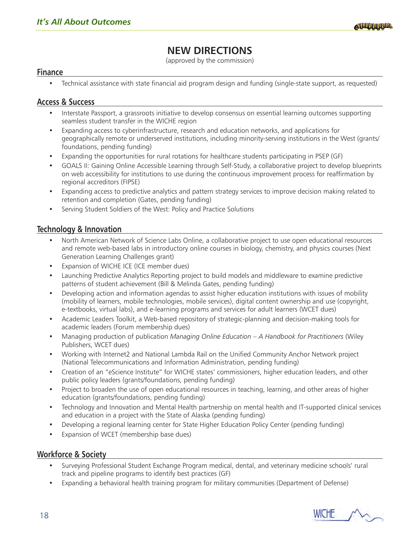# **NEW DIRECTIONS**

(approved by the commission)

## **Finance**

• Technical assistance with state financial aid program design and funding (single-state support, as requested)

## **Access & Success**

- Interstate Passport, a grassroots initiative to develop consensus on essential learning outcomes supporting seamless student transfer in the WICHE region
- Expanding access to cyberinfrastructure, research and education networks, and applications for geographically remote or underserved institutions, including minority-serving institutions in the West (grants/ foundations, pending funding)
- Expanding the opportunities for rural rotations for healthcare students participating in PSEP (GF)
- GOALS II: Gaining Online Accessible Learning through Self-Study, a collaborative project to develop blueprints on web accessibility for institutions to use during the continuous improvement process for reaffirmation by regional accreditors (FIPSE)
- Expanding access to predictive analytics and pattern strategy services to improve decision making related to retention and completion (Gates, pending funding)
- Serving Student Soldiers of the West: Policy and Practice Solutions

## **Technology & Innovation**

- North American Network of Science Labs Online, a collaborative project to use open educational resources and remote web-based labs in introductory online courses in biology, chemistry, and physics courses (Next Generation Learning Challenges grant)
- Expansion of WICHE ICE (ICE member dues)
- Launching Predictive Analytics Reporting project to build models and middleware to examine predictive patterns of student achievement (Bill & Melinda Gates, pending funding)
- Developing action and information agendas to assist higher education institutions with issues of mobility (mobility of learners, mobile technologies, mobile services), digital content ownership and use (copyright, e-textbooks, virtual labs), and e-learning programs and services for adult learners (WCET dues)
- Academic Leaders Toolkit, a Web-based repository of strategic-planning and decision-making tools for academic leaders (Forum membership dues)
- y Managing production of publication *Managing Online Education A Handbook for Practitioners* (Wiley Publishers, WCET dues)
- y Working with Internet2 and National Lambda Rail on the Unified Community Anchor Network project (National Telecommunications and Information Administration, pending funding)
- Creation of an "eScience Institute" for WICHE states' commissioners, higher education leaders, and other public policy leaders (grants/foundations, pending funding)
- Project to broaden the use of open educational resources in teaching, learning, and other areas of higher education (grants/foundations, pending funding)
- Technology and Innovation and Mental Health partnership on mental health and IT-supported clinical services and education in a project with the State of Alaska (pending funding)
- Developing a regional learning center for State Higher Education Policy Center (pending funding)
- Expansion of WCET (membership base dues)

## **Workforce & Society**

- Surveying Professional Student Exchange Program medical, dental, and veterinary medicine schools' rural track and pipeline programs to identify best practices (GF)
- Expanding a behavioral health training program for military communities (Department of Defense)

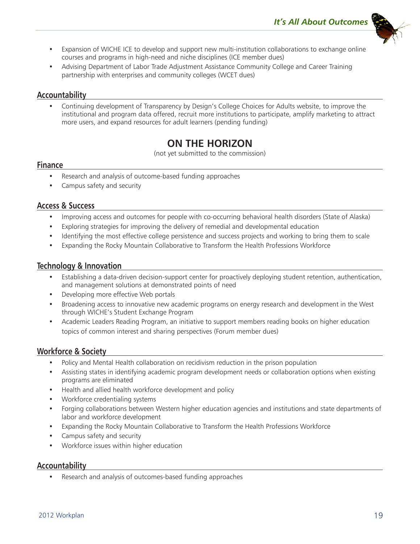

- Expansion of WICHE ICE to develop and support new multi-institution collaborations to exchange online courses and programs in high-need and niche disciplines (ICE member dues)
- Advising Department of Labor Trade Adjustment Assistance Community College and Career Training partnership with enterprises and community colleges (WCET dues)

## **Accountability**

Continuing development of Transparency by Design's College Choices for Adults website, to improve the institutional and program data offered, recruit more institutions to participate, amplify marketing to attract more users, and expand resources for adult learners (pending funding)

# **ON THE HORIZON**

(not yet submitted to the commission)

## **Finance**

- Research and analysis of outcome-based funding approaches
- Campus safety and security

## **Access & Success**

- Improving access and outcomes for people with co-occurring behavioral health disorders (State of Alaska)
- Exploring strategies for improving the delivery of remedial and developmental education
- Identifying the most effective college persistence and success projects and working to bring them to scale
- y Expanding the Rocky Mountain Collaborative to Transform the Health Professions Workforce

## **Technology & Innovation**

- Establishing a data-driven decision-support center for proactively deploying student retention, authentication, and management solutions at demonstrated points of need
- Developing more effective Web portals
- Broadening access to innovative new academic programs on energy research and development in the West through WICHE's Student Exchange Program
- Academic Leaders Reading Program, an initiative to support members reading books on higher education topics of common interest and sharing perspectives (Forum member dues)

## **Workforce & Society**

- Policy and Mental Health collaboration on recidivism reduction in the prison population
- Assisting states in identifying academic program development needs or collaboration options when existing programs are eliminated
- Health and allied health workforce development and policy
- Workforce credentialing systems
- Forging collaborations between Western higher education agencies and institutions and state departments of labor and workforce development
- Expanding the Rocky Mountain Collaborative to Transform the Health Professions Workforce
- Campus safety and security
- Workforce issues within higher education

## **Accountability**

Research and analysis of outcomes-based funding approaches